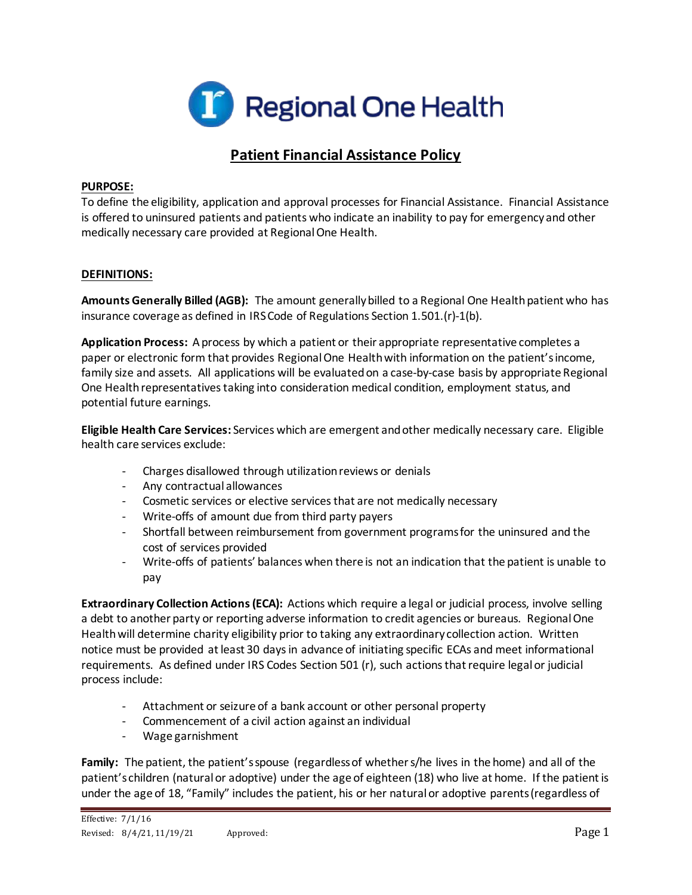

# **Patient Financial Assistance Policy**

#### **PURPOSE:**

To define the eligibility, application and approval processes for Financial Assistance. Financial Assistance is offered to uninsured patients and patients who indicate an inability to pay for emergency and other medically necessary care provided at Regional One Health.

## **DEFINITIONS:**

**Amounts Generally Billed (AGB):** The amount generally billed to a Regional One Health patient who has insurance coverage as defined in IRS Code of Regulations Section 1.501.(r)-1(b).

**Application Process:** A process by which a patient or their appropriate representative completes a paper or electronic form that provides Regional One Health with information on the patient's income, family size and assets. All applications will be evaluated on a case-by-case basis by appropriate Regional One Health representatives taking into consideration medical condition, employment status, and potential future earnings.

**Eligible Health Care Services:** Services which are emergent and other medically necessary care. Eligible health care services exclude:

- Charges disallowed through utilization reviews or denials
- Any contractual allowances
- Cosmetic services or elective services that are not medically necessary
- Write-offs of amount due from third party payers
- Shortfall between reimbursement from government programs for the uninsured and the cost of services provided
- Write-offs of patients' balances when there is not an indication that the patient is unable to pay

**Extraordinary Collection Actions (ECA):** Actions which require a legal or judicial process, involve selling a debt to another party or reporting adverse information to credit agencies or bureaus. Regional One Health will determine charity eligibility prior to taking any extraordinary collection action. Written notice must be provided at least 30 days in advance of initiating specific ECAs and meet informational requirements. As defined under IRS Codes Section 501 (r), such actions that require legal or judicial process include:

- Attachment or seizure of a bank account or other personal property
- Commencement of a civil action against an individual
- Wage garnishment

**Family:** The patient, the patient's spouse (regardless of whether s/he lives in the home) and all of the patient's children (naturalor adoptive) under the age of eighteen (18) who live at home. If the patient is under the age of 18, "Family" includes the patient, his or her natural or adoptive parents (regardless of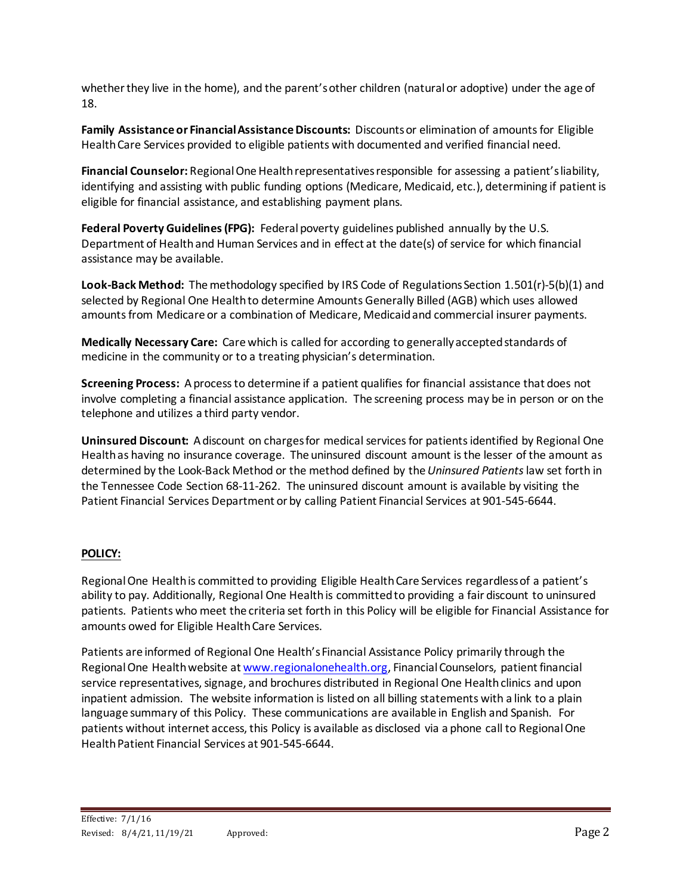whether they live in the home), and the parent's other children (natural or adoptive) under the age of 18.

**Family Assistance or Financial Assistance Discounts:** Discounts or elimination of amounts for Eligible Health Care Services provided to eligible patients with documented and verified financial need.

**Financial Counselor:** Regional One Health representatives responsible for assessing a patient's liability, identifying and assisting with public funding options (Medicare, Medicaid, etc.), determining if patient is eligible for financial assistance, and establishing payment plans.

**Federal Poverty Guidelines (FPG):** Federal poverty guidelines published annually by the U.S. Department of Health and Human Services and in effect at the date(s) of service for which financial assistance may be available.

**Look-Back Method:** The methodology specified by IRS Code of Regulations Section 1.501(r)-5(b)(1) and selected by Regional One Health to determine Amounts Generally Billed (AGB) which uses allowed amounts from Medicare or a combination of Medicare, Medicaid and commercial insurer payments.

**Medically Necessary Care:** Care which is called for according to generally accepted standards of medicine in the community or to a treating physician's determination.

**Screening Process:** A process to determine if a patient qualifies for financial assistance that does not involve completing a financial assistance application. The screening process may be in person or on the telephone and utilizes a third party vendor.

**Uninsured Discount:** A discount on charges for medical services for patients identified by Regional One Health as having no insurance coverage. The uninsured discount amount is the lesser of the amount as determined by the Look-Back Method or the method defined by the *Uninsured Patients*law set forth in the Tennessee Code Section 68-11-262. The uninsured discount amount is available by visiting the Patient Financial Services Department or by calling Patient Financial Services at 901-545-6644.

# **POLICY:**

Regional One Health is committed to providing Eligible Health Care Services regardless of a patient's ability to pay. Additionally, Regional One Health is committed to providing a fair discount to uninsured patients. Patients who meet the criteria set forth in this Policy will be eligible for Financial Assistance for amounts owed for Eligible Health Care Services.

Patients are informed of Regional One Health's Financial Assistance Policy primarily through the Regional One Health website a[t www.regionalonehealth.org](http://www.regionalonehealth.org/), Financial Counselors, patient financial service representatives, signage, and brochures distributed in Regional One Health clinics and upon inpatient admission. The website information is listed on all billing statements with a link to a plain language summary of this Policy. These communications are available in English and Spanish. For patients without internet access, this Policy is available as disclosed via a phone call to Regional One Health Patient Financial Services at 901-545-6644.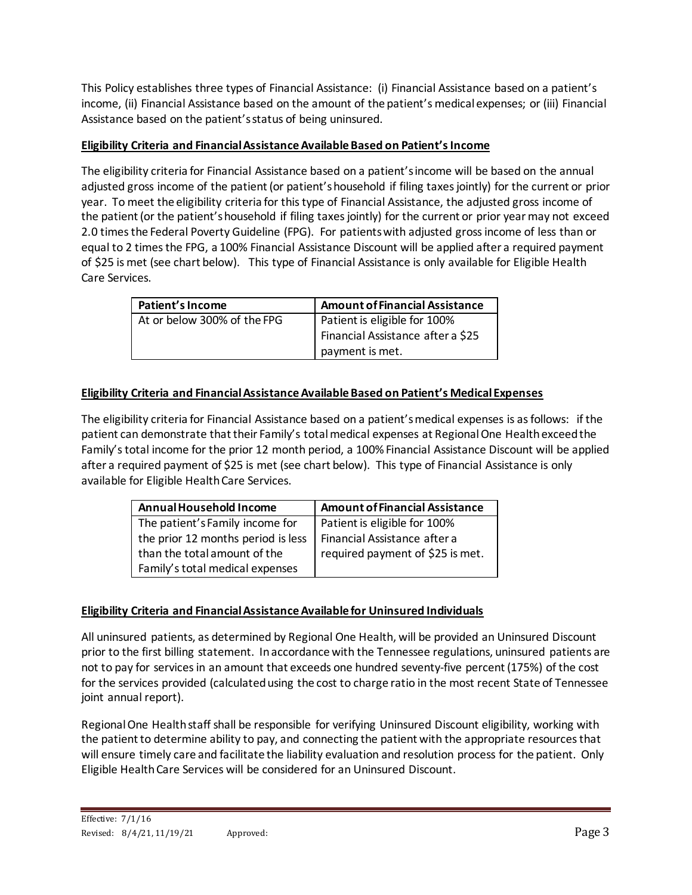This Policy establishes three types of Financial Assistance: (i) Financial Assistance based on a patient's income, (ii) Financial Assistance based on the amount of the patient's medical expenses; or (iii) Financial Assistance based on the patient's status of being uninsured.

## **Eligibility Criteria and Financial Assistance AvailableBased on Patient's Income**

The eligibility criteria for Financial Assistance based on a patient's income will be based on the annual adjusted gross income of the patient (or patient's household if filing taxes jointly) for the current or prior year. To meet the eligibility criteria for this type of Financial Assistance, the adjusted gross income of the patient (or the patient's household if filing taxes jointly) for the current or prior year may not exceed 2.0 times the Federal Poverty Guideline (FPG). For patients with adjusted gross income of less than or equal to 2 times the FPG, a 100% Financial Assistance Discount will be applied after a required payment of \$25 is met (see chart below). This type of Financial Assistance is only available for Eligible Health Care Services.

| Patient's Income            | Amount of Financial Assistance    |  |
|-----------------------------|-----------------------------------|--|
| At or below 300% of the FPG | Patient is eligible for 100%      |  |
|                             | Financial Assistance after a \$25 |  |
|                             | payment is met.                   |  |

## **Eligibility Criteria and Financial Assistance Available Based on Patient's Medical Expenses**

The eligibility criteria for Financial Assistance based on a patient's medical expenses is as follows: if the patient can demonstrate that their Family's total medical expenses at Regional One Health exceed the Family's total income for the prior 12 month period, a 100% Financial Assistance Discount will be applied after a required payment of \$25 is met (see chart below). This type of Financial Assistance is only available for Eligible Health Care Services.

| Annual Household Income            | <b>Amount of Financial Assistance</b> |  |  |
|------------------------------------|---------------------------------------|--|--|
| The patient's Family income for    | Patient is eligible for 100%          |  |  |
| the prior 12 months period is less | Financial Assistance after a          |  |  |
| than the total amount of the       | required payment of \$25 is met.      |  |  |
| Family's total medical expenses    |                                       |  |  |

## **Eligibility Criteria and Financial Assistance Available for Uninsured Individuals**

All uninsured patients, as determined by Regional One Health, will be provided an Uninsured Discount prior to the first billing statement. In accordance with the Tennessee regulations, uninsured patients are not to pay for services in an amount that exceeds one hundred seventy-five percent (175%) of the cost for the services provided (calculated using the cost to charge ratio in the most recent State of Tennessee joint annual report).

Regional One Health staff shall be responsible for verifying Uninsured Discount eligibility, working with the patient to determine ability to pay, and connecting the patient with the appropriate resources that will ensure timely care and facilitate the liability evaluation and resolution process for the patient. Only Eligible Health Care Services will be considered for an Uninsured Discount.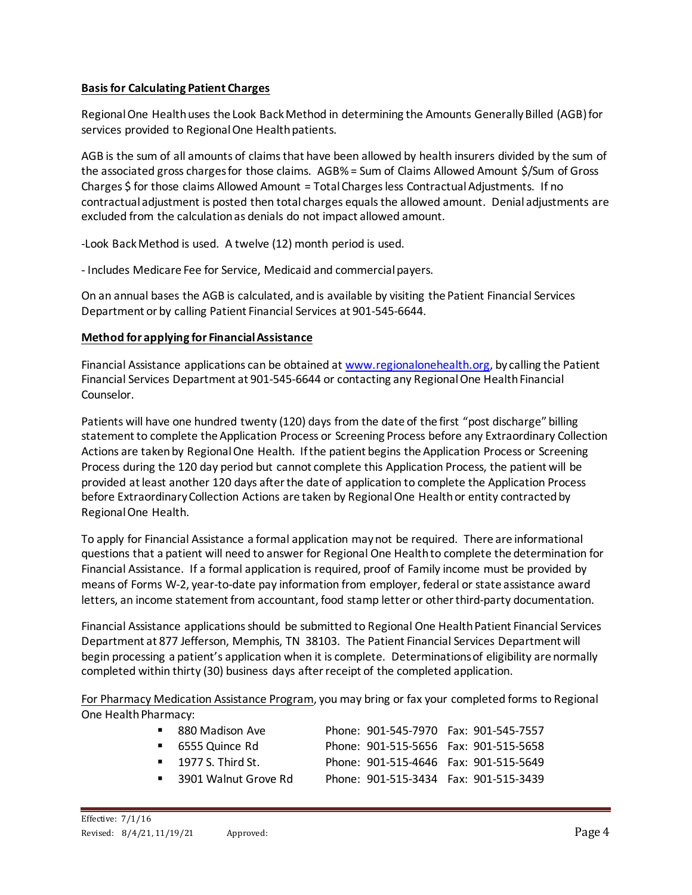## **Basis for Calculating Patient Charges**

Regional One Health uses the Look Back Method in determining the Amounts Generally Billed (AGB) for services provided to Regional One Health patients.

AGB is the sum of all amounts of claims that have been allowed by health insurers divided by the sum of the associated gross charges for those claims. AGB% = Sum of Claims Allowed Amount \$/Sum of Gross Charges \$ for those claims Allowed Amount = Total Charges less Contractual Adjustments. If no contractual adjustment is posted then total charges equals the allowed amount. Denial adjustments are excluded from the calculation as denials do not impact allowed amount.

-Look Back Method is used. A twelve (12) month period is used.

- Includes Medicare Fee for Service, Medicaid and commercial payers.

On an annual bases the AGB is calculated, and is available by visiting the Patient Financial Services Department or by calling Patient Financial Services at 901-545-6644.

## **Method for applying for Financial Assistance**

Financial Assistance applications can be obtained at [www.regionalonehealth.org](http://www.regionalonehealth.org/), by calling the Patient Financial Services Department at 901-545-6644 or contacting any Regional One Health Financial Counselor.

Patients will have one hundred twenty (120) days from the date of the first "post discharge" billing statement to complete the Application Process or Screening Process before any Extraordinary Collection Actions are taken by Regional One Health. If the patient begins the Application Process or Screening Process during the 120 day period but cannot complete this Application Process, the patient will be provided at least another 120 days after the date of application to complete the Application Process before Extraordinary Collection Actions are taken by Regional One Health or entity contracted by Regional One Health.

To apply for Financial Assistance a formal application may not be required. There are informational questions that a patient will need to answer for Regional One Health to complete the determination for Financial Assistance. If a formal application is required, proof of Family income must be provided by means of Forms W-2, year-to-date pay information from employer, federal or state assistance award letters, an income statement from accountant, food stamp letter or other third-party documentation.

Financial Assistance applications should be submitted to Regional One Health Patient Financial Services Department at 877 Jefferson, Memphis, TN 38103. The Patient Financial Services Department will begin processing a patient's application when it is complete. Determinations of eligibility are normally completed within thirty (30) business days after receipt of the completed application.

For Pharmacy Medication Assistance Program, you may bring or fax your completed forms to Regional One Health Pharmacy:

| ■ 880 Madison Ave<br>$-6555$ Quince Rd<br>$\blacksquare$ 1977 S. Third St.<br>■ 3901 Walnut Grove Rd | Phone: 901-545-7970 Fax: 901-545-7557<br>Phone: 901-515-5656 Fax: 901-515-5658<br>Phone: 901-515-4646 Fax: 901-515-5649<br>Phone: 901-515-3434 Fax: 901-515-3439 |
|------------------------------------------------------------------------------------------------------|------------------------------------------------------------------------------------------------------------------------------------------------------------------|